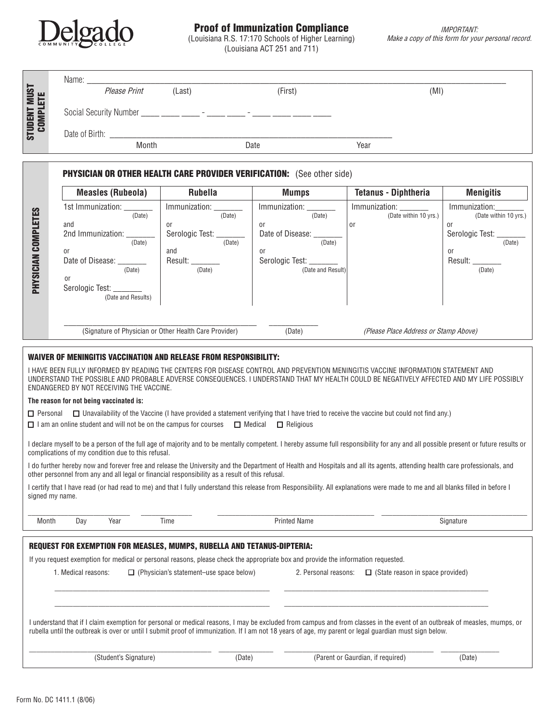

# Proof of Immunization Compliance

(Louisiana R.S. 17:170 Schools of Higher Learning) (Louisiana ACT 251 and 711)

| <b>STUDENT MUST</b><br><b>COMPLETE</b>                                                                                                                                                                                                                                                                                            |                                                                                  | Please Print                                   | (Last)                                                 | (First)                                      | (MI)                                   |                             |
|-----------------------------------------------------------------------------------------------------------------------------------------------------------------------------------------------------------------------------------------------------------------------------------------------------------------------------------|----------------------------------------------------------------------------------|------------------------------------------------|--------------------------------------------------------|----------------------------------------------|----------------------------------------|-----------------------------|
|                                                                                                                                                                                                                                                                                                                                   | Social Security Number ____ ____ ____ - ____ - ____ - ____ - ____ ____ ____ ____ |                                                |                                                        |                                              |                                        |                             |
|                                                                                                                                                                                                                                                                                                                                   |                                                                                  |                                                |                                                        |                                              |                                        |                             |
|                                                                                                                                                                                                                                                                                                                                   | Month<br>Date<br>Year                                                            |                                                |                                                        |                                              |                                        |                             |
|                                                                                                                                                                                                                                                                                                                                   |                                                                                  |                                                |                                                        |                                              |                                        |                             |
|                                                                                                                                                                                                                                                                                                                                   | <b>PHYSICIAN OR OTHER HEALTH CARE PROVIDER VERIFICATION:</b> (See other side)    |                                                |                                                        |                                              |                                        |                             |
|                                                                                                                                                                                                                                                                                                                                   |                                                                                  | <b>Measles (Rubeola)</b>                       | <b>Rubella</b>                                         | <b>Mumps</b>                                 | <b>Tetanus - Diphtheria</b>            | <b>Menigitis</b>            |
|                                                                                                                                                                                                                                                                                                                                   |                                                                                  | 1st Immunization: _______                      | Immunization: _______<br>(Date)                        | Immunization: _______<br>(Date)              | Immunization: _______                  | Immunization:               |
| PHYSICIAN COMPLETES                                                                                                                                                                                                                                                                                                               | and                                                                              | (Date)                                         | or                                                     | or                                           | (Date within 10 yrs.)<br><sub>or</sub> | (Date within 10 yrs.)<br>0r |
|                                                                                                                                                                                                                                                                                                                                   |                                                                                  | 2nd Immunization: _______<br>(Date)            | Serologic Test: ____<br>(Date)                         | Date of Disease: __<br>(Date)                |                                        | Serologic Test: _<br>(Date) |
|                                                                                                                                                                                                                                                                                                                                   | 0r                                                                               |                                                | and                                                    | <sub>or</sub>                                |                                        | <sub>or</sub>               |
|                                                                                                                                                                                                                                                                                                                                   |                                                                                  | Date of Disease: ________<br>(Date)            | Result: _<br>(Date)                                    | Serologic Test: _______<br>(Date and Result) |                                        | Result:<br>(Date)           |
|                                                                                                                                                                                                                                                                                                                                   | or                                                                               |                                                |                                                        |                                              |                                        |                             |
|                                                                                                                                                                                                                                                                                                                                   |                                                                                  | Serologic Test: ________<br>(Date and Results) |                                                        |                                              |                                        |                             |
|                                                                                                                                                                                                                                                                                                                                   |                                                                                  |                                                |                                                        |                                              |                                        |                             |
|                                                                                                                                                                                                                                                                                                                                   |                                                                                  |                                                |                                                        |                                              |                                        |                             |
|                                                                                                                                                                                                                                                                                                                                   |                                                                                  |                                                | (Signature of Physician or Other Health Care Provider) | (Date)                                       | (Please Place Address or Stamp Above)  |                             |
| <b>WAIVER OF MENINGITIS VACCINATION AND RELEASE FROM RESPONSIBILITY:</b>                                                                                                                                                                                                                                                          |                                                                                  |                                                |                                                        |                                              |                                        |                             |
| I HAVE BEEN FULLY INFORMED BY READING THE CENTERS FOR DISEASE CONTROL AND PREVENTION MENINGITIS VACCINE INFORMATION STATEMENT AND                                                                                                                                                                                                 |                                                                                  |                                                |                                                        |                                              |                                        |                             |
| UNDERSTAND THE POSSIBLE AND PROBABLE ADVERSE CONSEQUENCES. I UNDERSTAND THAT MY HEALTH COULD BE NEGATIVELY AFFECTED AND MY LIFE POSSIBLY                                                                                                                                                                                          |                                                                                  |                                                |                                                        |                                              |                                        |                             |
| ENDANGERED BY NOT RECEIVING THE VACCINE.                                                                                                                                                                                                                                                                                          |                                                                                  |                                                |                                                        |                                              |                                        |                             |
| The reason for not being vaccinated is:<br>$\Box$ Personal $\Box$ Unavailability of the Vaccine (I have provided a statement verifying that I have tried to receive the vaccine but could not find any.)                                                                                                                          |                                                                                  |                                                |                                                        |                                              |                                        |                             |
| $\Box$ I am an online student and will not be on the campus for courses $\Box$ Medical $\Box$ Religious                                                                                                                                                                                                                           |                                                                                  |                                                |                                                        |                                              |                                        |                             |
|                                                                                                                                                                                                                                                                                                                                   |                                                                                  |                                                |                                                        |                                              |                                        |                             |
| I declare myself to be a person of the full age of majority and to be mentally competent. I hereby assume full responsibility for any and all possible present or future results or<br>complications of my condition due to this refusal.                                                                                         |                                                                                  |                                                |                                                        |                                              |                                        |                             |
| I do further hereby now and forever free and release the University and the Department of Health and Hospitals and all its agents, attending health care professionals, and                                                                                                                                                       |                                                                                  |                                                |                                                        |                                              |                                        |                             |
| other personnel from any and all legal or financial responsibility as a result of this refusal.                                                                                                                                                                                                                                   |                                                                                  |                                                |                                                        |                                              |                                        |                             |
| I certify that I have read (or had read to me) and that I fully understand this release from Responsibility. All explanations were made to me and all blanks filled in before I<br>signed my name.                                                                                                                                |                                                                                  |                                                |                                                        |                                              |                                        |                             |
|                                                                                                                                                                                                                                                                                                                                   |                                                                                  |                                                |                                                        |                                              |                                        |                             |
| Month                                                                                                                                                                                                                                                                                                                             | Day                                                                              | Year                                           | Time                                                   | <b>Printed Name</b>                          |                                        | Signature                   |
|                                                                                                                                                                                                                                                                                                                                   |                                                                                  |                                                |                                                        |                                              |                                        |                             |
| <b>REQUEST FOR EXEMPTION FOR MEASLES, MUMPS, RUBELLA AND TETANUS-DIPTERIA:</b><br>If you request exemption for medical or personal reasons, please check the appropriate box and provide the information requested.                                                                                                               |                                                                                  |                                                |                                                        |                                              |                                        |                             |
| 1. Medical reasons:<br>$\Box$ (Physician's statement-use space below)<br>2. Personal reasons:<br>$\Box$ (State reason in space provided)                                                                                                                                                                                          |                                                                                  |                                                |                                                        |                                              |                                        |                             |
|                                                                                                                                                                                                                                                                                                                                   |                                                                                  |                                                |                                                        |                                              |                                        |                             |
|                                                                                                                                                                                                                                                                                                                                   |                                                                                  |                                                |                                                        |                                              |                                        |                             |
|                                                                                                                                                                                                                                                                                                                                   |                                                                                  |                                                |                                                        |                                              |                                        |                             |
| I understand that if I claim exemption for personal or medical reasons, I may be excluded from campus and from classes in the event of an outbreak of measles, mumps, or<br>rubella until the outbreak is over or until I submit proof of immunization. If I am not 18 years of age, my parent or legal guardian must sign below. |                                                                                  |                                                |                                                        |                                              |                                        |                             |
|                                                                                                                                                                                                                                                                                                                                   |                                                                                  |                                                |                                                        |                                              |                                        |                             |
|                                                                                                                                                                                                                                                                                                                                   |                                                                                  | (Student's Signature)                          | (Date)                                                 |                                              | (Parent or Gaurdian, if required)      | (Date)                      |
|                                                                                                                                                                                                                                                                                                                                   |                                                                                  |                                                |                                                        |                                              |                                        |                             |